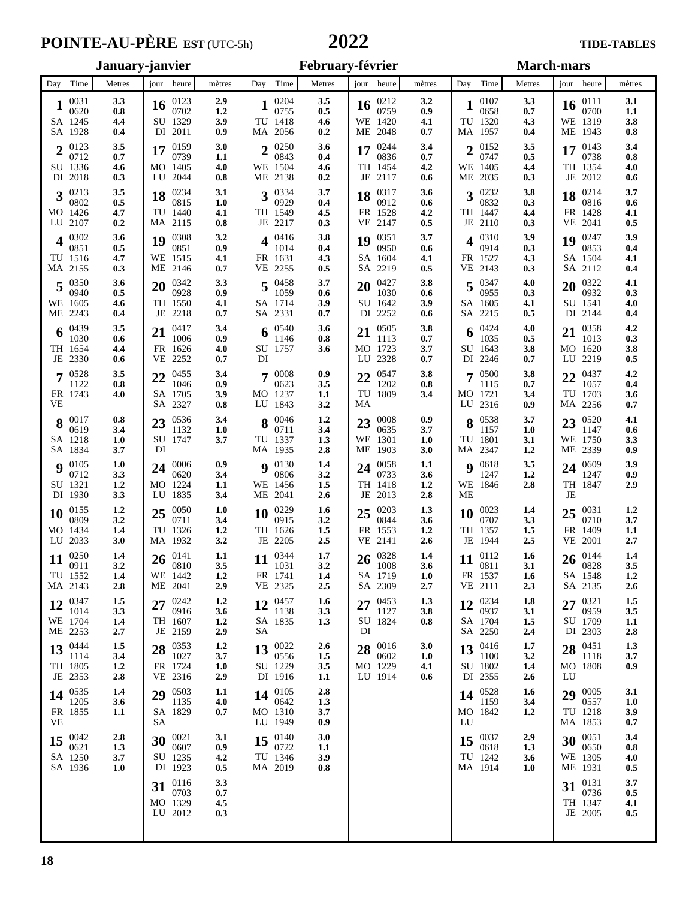# **POINTE-AU-PÈRE** EST (UTC-5h) **2022** TIDE-TABLES

| January-janvier                                                               |                                                         |                          | February-février                                  |                          |                                                        | <b>March-mars</b>        |                                                 |                          |                                                    |                          |
|-------------------------------------------------------------------------------|---------------------------------------------------------|--------------------------|---------------------------------------------------|--------------------------|--------------------------------------------------------|--------------------------|-------------------------------------------------|--------------------------|----------------------------------------------------|--------------------------|
| Day Time<br>Metres                                                            | jour heure                                              | mètres                   | Day Time                                          | Metres                   | jour heure                                             | mètres                   | Day Time                                        | Metres                   | jour heure                                         | mètres                   |
| 0031<br>3.3<br>0620<br>0.8<br>SA 1245<br>4.4<br>SA 1928<br>0.4                | 0123<br>16<br>0702<br>SU 1329<br>DI 2011                | 2.9<br>1.2<br>3.9<br>0.9 | 0204<br>0755<br>TU 1418<br>MA 2056                | 3.5<br>0.5<br>4.6<br>0.2 | 0212<br>16<br>0759<br>WE 1420<br>ME 2048               | 3.2<br>0.9<br>4.1<br>0.7 | 0107<br>0658<br>TU 1320<br>MA 1957              | 3.3<br>0.7<br>4.3<br>0.4 | 0111<br>16<br>0700<br>WE 1319<br>ME 1943           | 3.1<br>1.1<br>3.8<br>0.8 |
| 3.5<br>20123<br>0712<br>0.7<br>SU 1336<br>4.6<br>DI 2018<br>0.3               | 0159<br>17<br>0739<br>MO 1405<br>LU 2044                | 3.0<br>1.1<br>4.0<br>0.8 | 250<br>0843<br>WE 1504<br>ME 2138                 | 3.6<br>0.4<br>4.6<br>0.2 | 0244<br>17<br>0836<br>TH 1454<br>JE 2117               | 3.4<br>0.7<br>4.2<br>0.6 | 0152<br>↑<br>0747<br>WE 1405<br>ME 2035         | 3.5<br>0.5<br>4.4<br>0.3 | 0143<br>17<br>0738<br>TH 1354<br>JE 2012           | 3.4<br>0.8<br>4.0<br>0.6 |
| $3^{0213}$<br>3.5<br>0802<br>0.5<br>MO 1426<br>4.7<br>LU 2107<br>0.2          | 0234<br>18<br>0815<br>TU 1440<br>MA 2115                | 3.1<br>1.0<br>4.1<br>0.8 | 0334<br>3<br>0929<br>TH 1549<br>JE 2217           | 3.7<br>0.4<br>4.5<br>0.3 | 0317<br>18<br>0912<br>FR 1528<br>VE 2147               | 3.6<br>0.6<br>4.2<br>0.5 | 0232<br>3<br>0832<br>TH 1447<br>JE 2110         | 3.8<br>0.3<br>4.4<br>0.3 | 0214<br>18<br>0816<br>FR 1428<br>VE 2041           | 3.7<br>0.6<br>4.1<br>0.5 |
| 0302<br>3.6<br>4<br>0851<br>0.5<br>TU 1516<br>4.7<br>MA 2155<br>0.3           | 0308<br>19<br>0851<br>WE 1515<br>ME 2146                | 3.2<br>0.9<br>4.1<br>0.7 | 0416<br>4<br>1014<br>FR 1631<br>VE 2255           | 3.8<br>0.4<br>4.3<br>0.5 | 0351<br>19<br>0950<br>SA 1604<br>SA 2219               | 3.7<br>0.6<br>4.1<br>0.5 | 0310<br>0914<br>FR 1527<br>VE 2143              | 3.9<br>0.3<br>4.3<br>0.3 | 0247<br>19<br>0853<br>SA 1504<br>SA 2112           | 3.9<br>0.4<br>4.1<br>0.4 |
| 0350<br>3.6<br>0940<br>0.5<br>WE 1605<br>4.6<br>ME 2243<br>0.4                | 0342<br>20<br>0928<br>TH 1550<br>JE 2218                | 3.3<br>0.9<br>4.1<br>0.7 | 0458<br>1059<br>SA 1714<br>SA 2331                | 3.7<br>0.6<br>3.9<br>0.7 | 0427<br>20<br>1030<br>SU 1642<br>DI 2252               | 3.8<br>0.6<br>3.9<br>0.6 | 0347<br>0955<br>SA 1605<br>SA 2215              | 4.0<br>0.3<br>4.1<br>0.5 | 0322<br>20<br>0932<br>SU 1541<br>DI 2144           | 4.1<br>0.3<br>4.0<br>0.4 |
| 6 $^{0439}$<br>3.5<br>1030<br>0.6<br>TH 1654<br>4.4<br>JE 2330<br>0.6         | 0417<br>21<br>1006<br>FR 1626<br>VE 2252                | 3.4<br>0.9<br>4.0<br>0.7 | 0540<br>1146<br>SU 1757<br>DI                     | 3.6<br>0.8<br>3.6        | 0505<br>21<br>1113<br>MO 1723<br>LU 2328               | 3.8<br>0.7<br>3.7<br>0.7 | 0424<br>1035<br>SU 1643<br>DI 2246              | 4.0<br>0.5<br>3.8<br>0.7 | 0358<br>1013<br>MO 1620<br>LU 2219                 | 4.2<br>0.3<br>3.8<br>0.5 |
| 0528<br>3.5<br>1122<br>0.8<br>FR 1743<br>4.0<br>VE                            | 0455<br>22<br>1046<br>SA 1705<br>SA 2327                | 3.4<br>0.9<br>3.9<br>0.8 | 0008<br>7<br>0623<br>MO 1237<br>LU 1843           | 0.9<br>3.5<br>1.1<br>3.2 | 0547<br>22<br>1202<br>TU 1809<br>МA                    | 3.8<br>0.8<br>3.4        | 0500<br>1115<br>MO 1721<br>LU 2316              | 3.8<br>0.7<br>3.4<br>0.9 | 0437<br>22<br>1057<br>TU 1703<br>MA 2256           | 4.2<br>0.4<br>3.6<br>0.7 |
| 0017<br>0.8<br>0619<br>3.4<br>SA 1218<br>1.0<br>SA 1834<br>3.7                | 0536<br>23<br>1132<br>SU 1747<br>DI                     | 3.4<br>1.0<br>3.7        | $8\degree^{0046}$<br>0711<br>TU 1337<br>MA 1935   | 1.2<br>3.4<br>1.3<br>2.8 | 0008<br>23<br>0635<br>WE 1301<br>ME 1903               | 0.9<br>3.7<br>1.0<br>3.0 | 8 0538<br>1157<br>TU 1801<br>MA 2347            | 3.7<br>1.0<br>3.1<br>1.2 | 0520<br>23<br>1147<br>WE 1750<br>ME 2339           | 4.1<br>0.6<br>3.3<br>0.9 |
| $9^{0105}$<br>1.0<br>3.3<br>0712<br>SU 1321<br>1.2<br>DI 1930<br>3.3          | 0006<br>24<br>0620<br>MO 1224<br>LU 1835                | 0.9<br>3.4<br>1.1<br>3.4 | 0130<br>Q<br>0806<br>WE 1456<br>ME 2041           | 1.4<br>3.2<br>1.5<br>2.6 | 0058<br>24<br>0733<br>TH 1418<br>JE 2013               | 1.1<br>3.6<br>1.2<br>2.8 | 0618<br>Q<br>1247<br>WE 1846<br>МE              | 3.5<br>1.2<br>2.8        | 0609<br>24<br>1247<br>TH 1847<br>JE                | 3.9<br>0.9<br>2.9        |
| 1.2<br>0155<br>10<br>0809<br>3.2<br>MO 1434<br>1.4<br>LU 2033<br>3.0          | 0050<br>25<br>0711<br>TU 1326<br>MA 1932                | 1.0<br>3.4<br>1.2<br>3.2 | 0229<br>10<br>0915<br>TH 1626<br>JE 2205          | 1.6<br>3.2<br>1.5<br>2.5 | 0203<br>25<br>0844<br>FR 1553<br>VE 2141               | 1.3<br>3.6<br>1.2<br>2.6 | 0023<br><b>10</b><br>0707<br>TH 1357<br>JE 1944 | 1.4<br>3.3<br>1.5<br>2.5 | 0031<br>25<br>0710<br>FR 1409<br>VE 2001           | 1.2<br>3.7<br>1.1<br>2.7 |
| 0250<br>1.4<br>11<br>0911<br>3.2<br>TU 1552<br>1.4<br>MA 2143<br>2.8          | $26\substack{0141\\0012}$<br>0810<br>WE 1442<br>ME 2041 | 1.1<br>3.5<br>1.2<br>2.9 | 0344<br>11<br>1031<br>FR 1741<br>VE 2325          | 1.7<br>3.2<br>1.4<br>2.5 | $26\substack{0328\\000}$<br>1008<br>SA 1719<br>SA 2309 | 1.4<br>3.6<br>1.0<br>2.7 | 0112<br>11<br>0811<br>FR 1537<br>VE 2111        | 1.6<br>3.1<br>1.6<br>2.3 | $26\frac{0144}{000}$<br>0828<br>SA 1548<br>SA 2135 | 1.4<br>3.5<br>1.2<br>2.6 |
| 0347<br>1.5<br>12<br>1014<br>3.3<br>WE 1704<br>1.4<br>ME 2253<br>2.7          | 0242<br>27<br>0916<br>TH 1607<br>JE 2159                | 1.2<br>3.6<br>1.2<br>2.9 | 0457<br>12<br>1138<br>SA 1835<br>SА               | 1.6<br>3.3<br>1.3        | 0453<br>27<br>1127<br>SU 1824<br>DI                    | 1.3<br>3.8<br>0.8        | 0234<br>12<br>0937<br>SA 1704<br>SA 2250        | 1.8<br>3.1<br>1.5<br>2.4 | 0321<br>27<br>0959<br>SU 1709<br>DI 2303           | 1.5<br>3.5<br>1.1<br>2.8 |
| 13 $^{0444}$<br>1.5<br>1114<br>3.4<br>TH 1805<br>1.2<br>JE 2353<br>2.8        | 28 $^{0353}_{102}$<br>1027<br>FR 1724<br>VE 2316        | 1.2<br>3.7<br>1.0<br>2.9 | 0022<br>13<br>0556<br>SU 1229<br>DI 1916          | 2.6<br>1.5<br>3.5<br>1.1 | 0016<br>28<br>0602<br>MO 1229<br>LU 1914               | 3.0<br>1.0<br>4.1<br>0.6 | 0416<br>13<br>1100<br>SU 1802<br>DI 2355        | 1.7<br>3.2<br>1.4<br>2.6 | 28 $^{0451}_{1112}$<br>1118<br>MO 1808<br>LU       | 1.3<br>3.7<br>0.9        |
| 14 $^{0535}$<br>1.4<br>1205<br>3.6<br>FR 1855<br>1.1<br>VЕ                    | 29 $^{0503}_{112}$<br>1135<br>SA 1829<br>SА             | 1.1<br>4.0<br>0.7        | $14^{0105}$<br>0642<br>MO 1310<br>LU 1949         | 2.8<br>1.3<br>3.7<br>0.9 |                                                        |                          | $14^{0528}$<br>1159<br>MO 1842<br>LU            | 1.6<br>3.4<br>1.2        | 29 $^{0005}_{0000}$<br>0557<br>TU 1218<br>MA 1853  | 3.1<br>1.0<br>3.9<br>0.7 |
| 2.8<br>15 $^{0042}_{0001}$<br>0621<br>1.3<br>SA 1250<br>3.7<br>SA 1936<br>1.0 | 0021<br>30<br>0607<br>SU 1235<br>DI 1923                | 3.1<br>0.9<br>4.2<br>0.5 | 15 $^{0140}_{0222}$<br>0722<br>TU 1346<br>MA 2019 | 3.0<br>1.1<br>3.9<br>0.8 |                                                        |                          | 0037<br>15<br>0618<br>TU 1242<br>MA 1914        | 2.9<br>1.3<br>3.6<br>1.0 | 0051<br>30<br>0650<br>WE 1305<br>ME 1931           | 3.4<br>0.8<br>4.0<br>0.5 |
|                                                                               | 0116<br>31<br>0703<br>MO 1329<br>LU 2012                | 3.3<br>0.7<br>4.5<br>0.3 |                                                   |                          |                                                        |                          |                                                 |                          | 0131<br>31<br>0736<br>TH 1347<br>JE 2005           | 3.7<br>0.5<br>4.1<br>0.5 |
|                                                                               |                                                         |                          |                                                   |                          |                                                        |                          |                                                 |                          |                                                    |                          |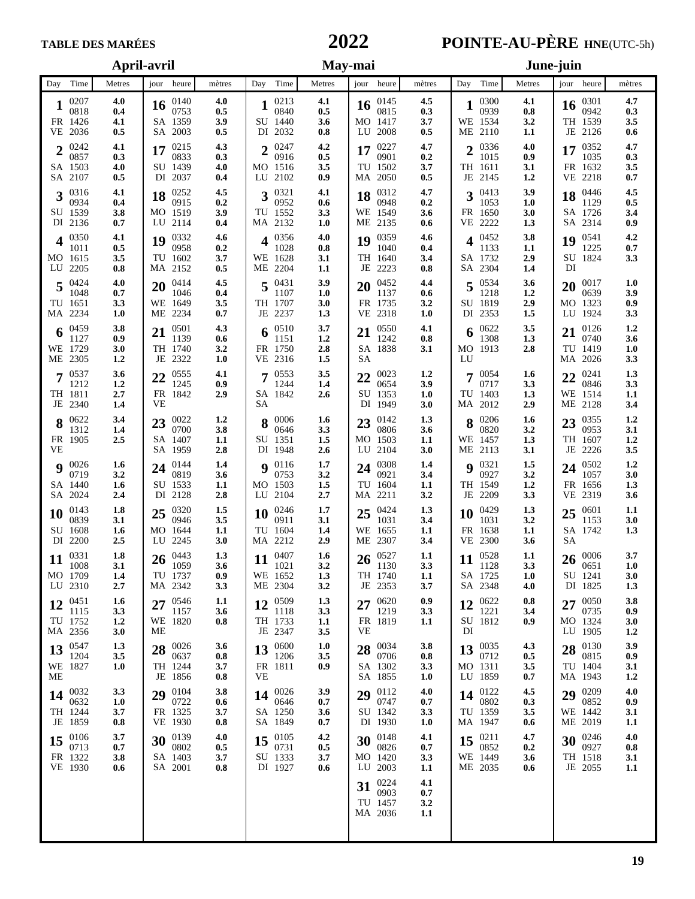# 

# **TABLE DES MARÉES 2022 POINTE-AU-PÈRE HNE**(UTC-5h)

|                                                                               | April-avril                                                                   |                                                                                 | May-mai                                                                       | June-juin                                                                    |                                                                                 |  |  |
|-------------------------------------------------------------------------------|-------------------------------------------------------------------------------|---------------------------------------------------------------------------------|-------------------------------------------------------------------------------|------------------------------------------------------------------------------|---------------------------------------------------------------------------------|--|--|
| Day Time<br>Metres                                                            | jour heure<br>mètres                                                          | Day Time<br>Metres                                                              | jour heure<br>mètres                                                          | Day Time<br>Metres                                                           | jour heure<br>mètres                                                            |  |  |
| 0207<br>4.0<br>0818<br>0.4<br>FR 1426<br>4.1<br>VE 2036<br>0.5                | 0140<br>4.0<br>16<br>0753<br>0.5<br>SA 1359<br>3.9<br>SA 2003<br>0.5          | 0213<br>4.1<br>0840<br>0.5<br>SU 1440<br>3.6<br>DI 2032<br>0.8                  | 0145<br>4.5<br>16<br>0815<br>0.3<br>MO 1417<br>3.7<br>LU 2008<br>0.5          | 0300<br>4.1<br>0939<br>0.8<br>WE 1534<br>3.2<br>ME 2110<br>1.1               | 0301<br>4.7<br>16<br>0942<br>0.3<br>TH 1539<br>3.5<br>JE 2126<br>0.6            |  |  |
| 0242<br>4.1<br>C<br>0857<br>0.3<br>SA 1503<br>4.0<br>SA 2107<br>0.5           | 4.3<br>0215<br>17<br>0833<br>0.3<br>SU 1439<br>4.0<br>DI 2037<br>0.4          | 4.2<br>0247<br>$\mathcal{P}$<br>0916<br>0.5<br>MO 1516<br>3.5<br>LU 2102<br>0.9 | 4.7<br>0227<br>17<br>0901<br>0.2<br>TU 1502<br>3.7<br>MA 2050<br>0.5          | 20336<br>4.0<br>1015<br>0.9<br>TH 1611<br>3.1<br>JE 2145<br>1.2              | 4.7<br>0352<br>17<br>1035<br>0.3<br>FR 1632<br>3.5<br>VE 2218<br>0.7            |  |  |
| $3\frac{0316}{25}$<br>4.1<br>0934<br>0.4<br>SU 1539<br>3.8<br>DI 2136<br>0.7  | 0252<br>4.5<br>18<br>0915<br>0.2<br>MO 1519<br>3.9<br>LU 2114<br>0.4          | 0321<br>4.1<br>3<br>0952<br>0.6<br>TU 1552<br>3.3<br>MA 2132<br>1.0             | 4.7<br>0312<br>18<br>0948<br>0.2<br>WE 1549<br>3.6<br>ME 2135<br>0.6          | 0413<br>3.9<br>3<br>1053<br>1.0<br>FR 1650<br>3.0<br>1.3<br>VE 2222          | 4.5<br>0446<br>18<br>1129<br>0.5<br>SA 1726<br>3.4<br>SA 2314<br>0.9            |  |  |
| 0350<br>4.1<br>1011<br>0.5<br>MO 1615<br>3.5<br>LU 2205<br>0.8                | 0332<br>4.6<br>19<br>0958<br>0.2<br>TU 1602<br>3.7<br>MA 2152<br>0.5          | 0356<br>4.0<br>1028<br>0.8<br>WE 1628<br>3.1<br>ME 2204<br>1.1                  | 0359<br>4.6<br>19<br>1040<br>0.4<br>TH 1640<br>3.4<br>JE 2223<br>0.8          | 0452<br>3.8<br>1133<br>1.1<br>SA 1732<br>2.9<br>SA 2304<br>1.4               | 4.2<br>0541<br>19<br>1225<br>0.7<br>SU 1824<br>3.3<br>DI                        |  |  |
| $5\frac{0424}{100}$<br>4.0<br>1048<br>0.7<br>TU 1651<br>3.3<br>MA 2234<br>1.0 | 4.5<br>0414<br>20<br>1046<br>0.4<br>WE 1649<br>3.5<br>ME 2234<br>0.7          | 3.9<br>0431<br>5<br>1107<br>1.0<br>TH 1707<br>3.0<br>JE 2237<br>1.3             | 0452<br>4,4<br>20<br>1137<br>0.6<br>FR 1735<br>3.2<br>VE 2318<br>1.0          | 0534<br>3.6<br>1218<br>1.2<br>SU 1819<br>2.9<br>DI 2353<br>1.5               | 1.0<br>0017<br>20<br>0639<br>3.9<br>MO 1323<br>0.9<br>LU 1924<br>3.3            |  |  |
| 0459<br>3.8<br>0.9<br>1127<br>WE 1729<br>3.0<br>ME 2305<br>1.2                | 0501<br>4.3<br>1139<br>0.6<br>TH 1740<br>3.2<br>JE 2322<br>1.0                | 3.7<br>0510<br>1.2<br>1151<br>FR 1750<br>2.8<br>VE 2316<br>1.5                  | 0550<br>4.1<br>21<br>1242<br>0.8<br>SA 1838<br>3.1<br>SА                      | 3.5<br>0622<br>1308<br>1.3<br>MO 1913<br>2.8<br>LU                           | 1.2<br>0126<br>0740<br>3.6<br>1.0<br>TU 1419<br>MA 2026<br>3.3                  |  |  |
| 0537<br>3.6<br>1212<br>1.2<br>TH 1811<br>2.7<br>JE 2340<br>1.4                | 0555<br>4.1<br>22<br>1245<br>0.9<br>FR 1842<br>2.9<br>VE                      | 0553<br>3.5<br>1244<br>1.4<br>SA 1842<br>2.6<br>SА                              | 0023<br>1.2<br>22<br>0654<br>3.9<br>SU 1353<br>1.0<br>DI 1949<br>3.0          | 0054<br>1.6<br>7<br>0717<br>3.3<br>TU 1403<br>1.3<br>2.9<br>MA 2012          | 22 $^{0241}_{001}$<br>1.3<br>0846<br>3.3<br>WE 1514<br>1.1<br>ME 2128<br>3.4    |  |  |
| 3.4<br>$8\substack{0622\\121}$<br>1312<br>1.4<br>2.5<br>FR 1905<br>VE         | 0022<br>1.2<br>23<br>0700<br>3.8<br>SA 1407<br>1.1<br>SA 1959<br>2.8          | 0006<br>1.6<br>8<br>0646<br>3.3<br>SU 1351<br>1.5<br>DI 1948<br>2.6             | 1.3<br>0142<br>23<br>0806<br>3.6<br>MO 1503<br>1.1<br>LU 2104<br>3.0          | $8\degree$ 0206<br>1.6<br>0820<br>3.2<br>WE 1457<br>1.3<br>ME 2113<br>3.1    | 1,2<br>$23\frac{0355}{0255}$<br>0953<br>3.1<br>TH 1607<br>1.2<br>JE 2226<br>3.5 |  |  |
| $9^{0026}$<br>1.6<br>0719<br>3.2<br>SA 1440<br>1.6<br>SA 2024<br>2.4          | 0144<br>1.4<br>24<br>0819<br>3.6<br>SU 1533<br>1.1<br>DI 2128<br>2.8          | 1.7<br>0116<br>Q<br>0753<br>3.2<br>MO 1503<br>1.5<br>2.7<br>LU 2104             | 0308<br>1.4<br>24<br>0921<br>3.4<br>TU 1604<br>1.1<br>MA 2211<br>3.2          | 0321<br>1.5<br>Q<br>3.2<br>0927<br>TH 1549<br>1.2<br>JE 2209<br>3.3          | 1.2<br>0502<br>24<br>3.0<br>1057<br>1.3<br>FR 1656<br>VE 2319<br>3.6            |  |  |
| 0143<br>1.8<br>10<br>0839<br>3.1<br>SU 1608<br>1.6<br>DI 2200<br>2.5          | 0320<br>1.5<br>25<br>0946<br>3.5<br>MO 1644<br>1.1<br>LU 2245<br>3.0          | 0246<br>1.7<br>10<br>0911<br>3.1<br>TU 1604<br>1.4<br>MA 2212<br>2.9            | 0424<br>1.3<br>25<br>1031<br>3.4<br>WE 1655<br>1.1<br>ME 2307<br>3.4          | 0429<br>1.3<br>10<br>1031<br>3.2<br>FR 1638<br>1.1<br>VE 2300<br>3.6         | 1.1<br>$25^{0601}$<br>1153<br>3.0<br>SA 1742<br>1.3<br>SА                       |  |  |
| 1.8<br>0331<br>11<br>1008<br>3.1<br>MO 1709<br>1.4<br>LU 2310<br>2.7          | $26^{0443}$<br>1.3<br>1059<br>3.6<br>TU 1737<br>0.9<br>MA 2342<br>3.3         | 0407<br>1.6<br>11<br>1021<br>3.2<br>WE 1652<br>1.3<br>ME 2304<br>3.2            | $26^{0527}$<br>1.1<br>1130<br>3.3<br>TH 1740<br>1.1<br>JE 2353<br>3.7         | 1.1<br>0528<br>11<br>3.3<br>1128<br>SA 1725<br>1.0<br>SA 2348<br>4.0         | 3.7<br>26 $^{0006}_{0000}$<br>0651<br>1.0<br>SU 1241<br>3.0<br>DI 1825<br>1.3   |  |  |
| 0451<br>1.6<br>12<br>1115<br>3.3<br>TU 1752<br>1.2<br>MA 2356<br>3.0          | 0546<br>1.1<br>27<br>1157<br>3.6<br>WE 1820<br>0.8<br>MЕ                      | 0509<br>1.3<br>12<br>3.3<br>1118<br>TH 1733<br>1.1<br>JE 2347<br>3.5            | 0.9<br>0620<br>27<br>1219<br>3.3<br>FR 1819<br>1.1<br>VE                      | 0622<br>0.8<br>12<br>1221<br>3.4<br>SU 1812<br>0.9<br>DI                     | 3.8<br>0050<br>27<br>0735<br>0.9<br>MO 1324<br>3.0<br>LU 1905<br>1.2            |  |  |
| 0547<br>1.3<br>13<br>1204<br>3.5<br>WE 1827<br>1.0<br>МE                      | 28 $^{0026}_{0622}$<br>3.6<br>0637<br>0.8<br>TH 1244<br>3.7<br>JE 1856<br>0.8 | 0600<br>1.0<br>13<br>1206<br>3.5<br>FR 1811<br>0.9<br><b>VE</b>                 | 3.8<br>28 $^{0034}_{0700}$<br>0706<br>0.8<br>SA 1302<br>3.3<br>SA 1855<br>1.0 | 13 $^{0035}_{02}$<br>4.3<br>0712<br>0.5<br>MO 1311<br>3.5<br>LU 1859<br>0.7  | 3.9<br>28 $_{0.015}^{0130}$<br>0815<br>0.9<br>TU 1404<br>3.1<br>MA 1943<br>1.2  |  |  |
| 14 $^{0032}_{0000}$<br>3.3<br>0632<br>1.0<br>TH 1244<br>3.7<br>JE 1859<br>0.8 | 29 0104<br>3.8<br>0722<br>0.6<br>FR 1325<br>3.7<br>VE 1930<br>0.8             | 3.9<br>0026<br>14<br>0646<br>0.7<br>SA 1250<br>3.6<br>SA 1849<br>0.7            | $20$ 0112<br>4.0<br>0747<br>0.7<br>SU 1342<br>3.3<br>DI 1930<br>1.0           | 4.5<br>14 $^{0122}_{022}$<br>0802<br>0.3<br>TU 1359<br>3.5<br>MA 1947<br>0.6 | 29 0209<br>4.0<br>0852<br>0.9<br>WE 1442<br>3.1<br>ME 2019<br>1.1               |  |  |
| 15 $^{0106}_{0211}$<br>3.7<br>0713<br>0.7<br>FR 1322<br>3.8<br>VE 1930<br>0.6 | 0139<br>4.0<br>30<br>0802<br>0.5<br>SA 1403<br>3.7<br>SA 2001<br>0.8          | 0105<br>4.2<br>15<br>0731<br>0.5<br>SU 1333<br>3.7<br>DI 1927<br>0.6            | 0148<br>4.1<br>30<br>0826<br>0.7<br>MO 1420<br>3.3<br>LU 2003<br>$1.1\,$      | 4.7<br>0211<br>15<br>0852<br>0.2<br>WE 1449<br>3.6<br>ME 2035<br>0.6         | 4.0<br>0246<br>30<br>0927<br>0.8<br>TH 1518<br>3.1<br>JE 2055<br>$1.1\,$        |  |  |
|                                                                               |                                                                               |                                                                                 | 0224<br>4.1<br>31<br>0903<br>0.7<br>TU 1457<br>3.2<br>MA 2036<br>1.1          |                                                                              |                                                                                 |  |  |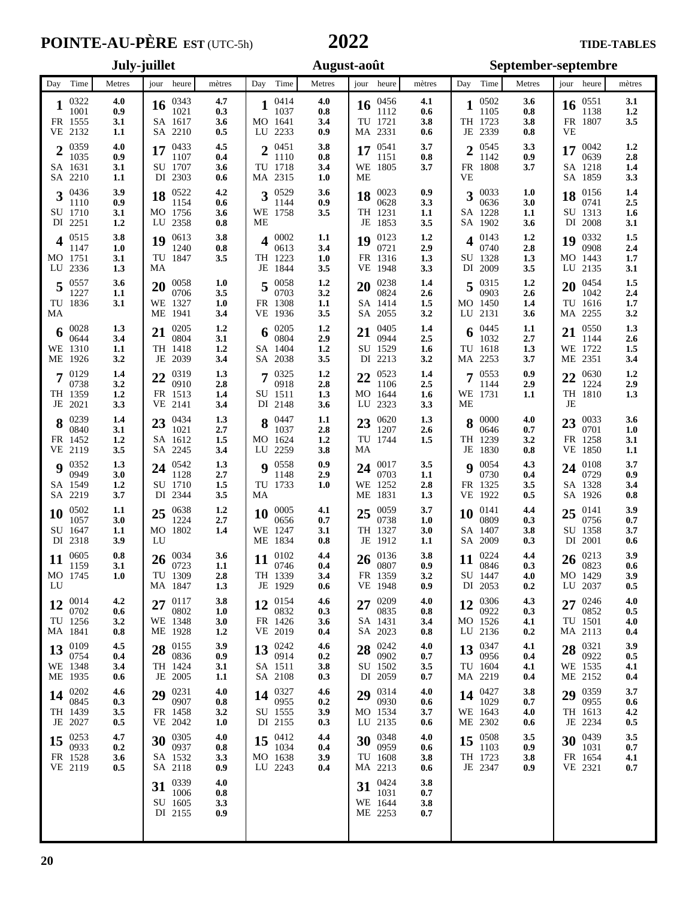### TIDE-TABLES TO THE TABLES

| Day Time<br>Metres                                                    | jour heure<br>mètres                                                            |                                                                                |                                                                      | September-septembre                                                     |                                                                               |  |  |
|-----------------------------------------------------------------------|---------------------------------------------------------------------------------|--------------------------------------------------------------------------------|----------------------------------------------------------------------|-------------------------------------------------------------------------|-------------------------------------------------------------------------------|--|--|
|                                                                       |                                                                                 | Day Time<br>Metres                                                             | jour heure<br>mètres                                                 | Day Time<br>Metres                                                      | jour heure<br>mètres                                                          |  |  |
| 0322<br>4.0<br>1001<br>0.9<br>FR 1555<br>3.1<br>VE 2132<br>1.1        | 0343<br>4.7<br>16<br>1021<br>0.3<br>SA 1617<br>3.6<br>SA 2210<br>0.5            | 0414<br>4.0<br>1037<br>0.8<br>MO 1641<br>3.4<br>LU 2233<br>0.9                 | 0456<br>4.1<br>16<br>1112<br>0.6<br>TU 1721<br>3.8<br>MA 2331<br>0.6 | 0502<br>3.6<br>1<br>1105<br>0.8<br>TH 1723<br>3.8<br>JE 2339<br>0.8     | 3.1<br>0551<br>16<br>1138<br>1.2<br>FR 1807<br>3.5<br>VE                      |  |  |
| 4.0<br>$2^{0359}$<br>1035<br>0.9<br>SA 1631<br>3.1<br>SA 2210<br>1.1  | 4.5<br>0433<br>17<br>1107<br>0.4<br>SU 1707<br>3.6<br>DI 2303<br>0.6            | 3.8<br>0451<br><sub>2</sub><br>1110<br>0.8<br>TU 1718<br>3.4<br>MA 2315<br>1.0 | 3.7<br>0541<br>17<br>1151<br>0.8<br>WE 1805<br>3.7<br>МE             | 3.3<br>0545<br>າ<br>1142<br>0.9<br>FR 1808<br>3.7<br>VЕ                 | 0042<br>1.2<br>17<br>0639<br>2.8<br>SA 1218<br>1.4<br>SA 1859<br>3.3          |  |  |
| 3.9<br>$3^{0436}$<br>0.9<br>1110<br>SU 1710<br>3.1<br>DI 2251<br>1.2  | 4.2<br>0522<br>18<br>1154<br>0.6<br>MO 1756<br>3.6<br>LU 2358<br>0.8            | 0529<br>3.6<br>3<br>1144<br>0.9<br>WE 1758<br>3.5<br>МE                        | 0.9<br>0023<br>18<br>0628<br>3.3<br>TH 1231<br>1.1<br>3.5<br>JE 1853 | 0033<br>1.0<br>3<br>0636<br>3.0<br>SA 1228<br>1.1<br>SA 1902<br>3.6     | 0156<br>1.4<br>18<br>2.5<br>0741<br>SU 1313<br>1.6<br>DI 2008<br>3.1          |  |  |
| 3.8<br>0515<br>4<br>1147<br>1.0<br>MO 1751<br>3.1<br>LU 2336<br>1.3   | 3.8<br>0613<br>19<br>1240<br>0.8<br>TU 1847<br>3.5<br>MA                        | 0002<br>1.1<br>4<br>0613<br>3.4<br>TH 1223<br>1.0<br>JE 1844<br>3.5            | 0123<br>1.2<br>19<br>0721<br>2.9<br>FR 1316<br>1.3<br>VE 1948<br>3.3 | 0143<br>1.2<br>0740<br>2.8<br>SU 1328<br>1.3<br>3.5<br>DI 2009          | 0332<br>1.5<br>19<br>0908<br>2.4<br>MO 1443<br>1.7<br>LU 2135<br>3.1          |  |  |
| 0557<br>3.6<br>1227<br>1.1<br>TU 1836<br>3.1<br>MA                    | 0058<br>1.0<br>20<br>0706<br>3.5<br>WE 1327<br>1.0<br>ME 1941<br>3.4            | 1.2<br>0058<br>0703<br>3.2<br>FR 1308<br>1.1<br>VE 1936<br>3.5                 | 0238<br>1.4<br>20<br>0824<br>2.6<br>SA 1414<br>1.5<br>SA 2055<br>3.2 | 1.2<br>0315<br>0903<br>2.6<br>MO 1450<br>1.4<br>LU 2131<br>3.6          | 1.5<br>0454<br>20<br>1042<br>2.4<br>TU 1616<br>1.7<br>MA 2255<br>3.2          |  |  |
| 0028<br>1.3<br>6<br>3.4<br>0644<br>WE 1310<br>1.1<br>3.2<br>ME 1926   | 0205<br>1.2<br>21<br>0804<br>3.1<br>TH 1418<br>1.2<br>JE<br>2039<br>3.4         | 1.2<br>0205<br>6<br>0804<br>2.9<br>SA 1404<br>1.2<br>SA 2038<br>3.5            | 0405<br>1.4<br>21<br>0944<br>2.5<br>SU 1529<br>1.6<br>DI 2213<br>3.2 | 0445<br>1.1<br>6<br>2.7<br>1032<br>TU 1618<br>1.3<br>3.7<br>MA 2253     | 0550<br>1.3<br>1144<br>2.6<br>WE 1722<br>1.5<br>ME 2351<br>3.4                |  |  |
| 0129<br>1.4<br>0738<br>3.2<br>TH 1359<br>1.2<br>JE 2021<br>3.3        | 0319<br>1.3<br>22<br>0910<br>2.8<br>FR 1513<br>1.4<br>VE 2141<br>3.4            | 0325<br>1.2<br>0918<br>2.8<br>SU 1511<br>1.3<br>DI 2148<br>3.6                 | 0523<br>1.4<br>22<br>1106<br>2.5<br>MO 1644<br>1.6<br>LU 2323<br>3.3 | 0553<br>0.9<br>7<br>1144<br>2.9<br>WE 1731<br>1.1<br>МE                 | 0630<br>1.2<br>22<br>1224<br>2.9<br>TH 1810<br>1.3<br>JE                      |  |  |
| 1.4<br>8 $^{0239}$<br>0840<br>3.1<br>FR 1452<br>1.2<br>VE 2119<br>3.5 | 0434<br>1.3<br>23<br>1021<br>2.7<br>SA 1612<br>1.5<br>SA 2245<br>3.4            | $8^{0447}$<br>1.1<br>1037<br>2.8<br>MO 1624<br>1.2<br>LU 2259<br>3.8           | 1.3<br>0620<br>23<br>1207<br>2.6<br>TU 1744<br>1.5<br>MA             | 0000<br>4.0<br>8<br>0646<br>0.7<br>TH 1239<br>3.2<br>JE 1830<br>0.8     | 0033<br>3.6<br>23<br>0701<br>1.0<br>FR 1258<br>3.1<br>VE 1850<br>1.1          |  |  |
| $9^{0352}$<br>1.3<br>0949<br>3.0<br>SA 1549<br>1.2<br>SA 2219<br>3.7  | 0542<br>1.3<br>24<br>2.7<br>1128<br>SU 1710<br>1.5<br>DI 2344<br>3.5            | 0.9<br>0558<br>Q<br>2.9<br>1148<br>TU 1733<br>1.0<br>МA                        | 3.5<br>0017<br>24<br>0703<br>1.1<br>WE 1252<br>2.8<br>1.3<br>ME 1831 | 0054<br>4.3<br>Q<br>0730<br>0.4<br>FR 1325<br>3.5<br>VE 1922<br>$0.5\,$ | 3.7<br>0108<br>24<br>0729<br>0.9<br>SA 1328<br>3.4<br>SA 1926<br>0.8          |  |  |
| 0502<br>1.1<br>10<br>1057<br>3.0<br>SU 1647<br>1.1<br>DI 2318<br>3.9  | 0638<br>1.2<br>25<br>1224<br>2.7<br>MO 1802<br>1.4<br>LU                        | 0005<br>4.1<br><b>10</b><br>0656<br>0.7<br>WE 1247<br>3.1<br>ME 1834<br>0.8    | 0059<br>3.7<br>25<br>0738<br>1.0<br>TH 1327<br>3.0<br>JE 1912<br>1.1 | 4.4<br>0141<br>10<br>0809<br>0.3<br>SA 1407<br>3.8<br>SA 2009<br>0.3    | 3.9<br>0141<br>25<br>0756<br>0.7<br>SU 1358<br>3.7<br>DI 2001<br>0.6          |  |  |
| 0605<br>0.8<br>11<br>3.1<br>1159<br>MO 1745<br>1.0<br>LU              | 26 $^{0034}_{0722}$<br>3.6<br>0723<br>1.1<br>TU 1309<br>2.8<br>MA 1847<br>1.3   | 0102<br>4.4<br>11<br>0746<br>0.4<br>TH 1339<br>3.4<br>JE 1929<br>0.6           | 3.8<br>0136<br>26<br>0807<br>0.9<br>FR 1359<br>3.2<br>VE 1948<br>0.9 | 4.4<br>0224<br>11<br>0.3<br>0846<br>SU 1447<br>4.0<br>DI 2053<br>0.2    | 3.9<br>0213<br>26<br>0823<br>0.6<br>MO 1429<br>3.9<br>LU 2037<br>0.5          |  |  |
| 4.2<br>0014<br>12<br>0702<br>0.6<br>TU 1256<br>3.2<br>MA 1841<br>0.8  | 3.8<br>0117<br>27<br>0802<br>1.0<br>WE 1348<br>3.0<br>ME 1928<br>1.2            | 0154<br>4.6<br>12<br>0832<br>0.3<br>FR 1426<br>3.6<br>VE 2019<br>0.4           | 0209<br>4.0<br>27<br>0835<br>0.8<br>SA 1431<br>3.4<br>SA 2023<br>0.8 | 0306<br>4.3<br>12<br>0922<br>0.3<br>MO 1526<br>4.1<br>LU 2136<br>0.2    | 4.0<br>0246<br>27<br>0852<br>0.5<br>TU 1501<br>4.0<br>MA 2113<br>0.4          |  |  |
| 0109<br>4.5<br>13<br>0754<br>0.4<br>WE 1348<br>3.4<br>ME 1935<br>0.6  | 3.9<br>28 $_{0.025}^{0.155}$<br>0836<br>0.9<br>TH 1424<br>3.1<br>JE 2005<br>1.1 | 0242<br>4.6<br>13<br>0914<br>0.2<br>SA 1511<br>3.8<br>SA 2108<br>0.3           | 0242<br>4.0<br>28<br>0902<br>0.7<br>SU 1502<br>3.5<br>DI 2059<br>0.7 | 0347<br>4.1<br>13<br>0956<br>0.4<br>TU 1604<br>4.1<br>MA 2219<br>0.4    | 3.9<br>28 $^{0321}_{0022}$<br>0922<br>0.5<br>WE 1535<br>4.1<br>ME 2152<br>0.4 |  |  |
| 0202<br>4.6<br>14<br>0845<br>0.3<br>TH 1439<br>3.5<br>JE 2027<br>0.5  | 29 0231<br>4.0<br>0907<br>0.8<br>FR 1458<br>3.2<br>VE 2042<br>1.0               | 14 $^{0327}$<br>4.6<br>0955<br>0.2<br>SU 1555<br>3.9<br>DI 2155<br>0.3         | 0314<br>4.0<br>29<br>0930<br>0.6<br>MO 1534<br>3.7<br>LU 2135<br>0.6 | 0427<br>3.8<br>14<br>1029<br>0.7<br>WE 1643<br>4.0<br>ME 2302<br>0.6    | 29 0359<br>3.7<br>0955<br>0.6<br>TH 1613<br>4.2<br>JE 2234<br>0.5             |  |  |
| 0253<br>4.7<br>15<br>0933<br>0.2<br>FR 1528<br>3.6<br>VE 2119<br>0.5  | 0305<br>4.0<br>30<br>0937<br>0.8<br>SA 1532<br>3.3<br>SA 2118<br>0.9            | 0412<br>4.4<br>15<br>1034<br>0.4<br>MO 1638<br>3.9<br>LU 2243<br>0.4           | 0348<br>4.0<br>30<br>0959<br>0.6<br>TU 1608<br>3.8<br>MA 2213<br>0.6 | 3.5<br>0508<br>15<br>1103<br>0.9<br>TH 1723<br>3.8<br>JE 2347<br>0.9    | 3.5<br>0439<br>30<br>1031<br>0.7<br>FR 1654<br>4.1<br>VE 2321<br>0.7          |  |  |
|                                                                       | 0339<br>4.0<br>31<br>1006<br>0.8<br>SU 1605<br>3.3<br>DI 2155<br>0.9            |                                                                                | 0424<br>3.8<br>31<br>1031<br>0.7<br>WE 1644<br>3.8<br>ME 2253<br>0.7 |                                                                         |                                                                               |  |  |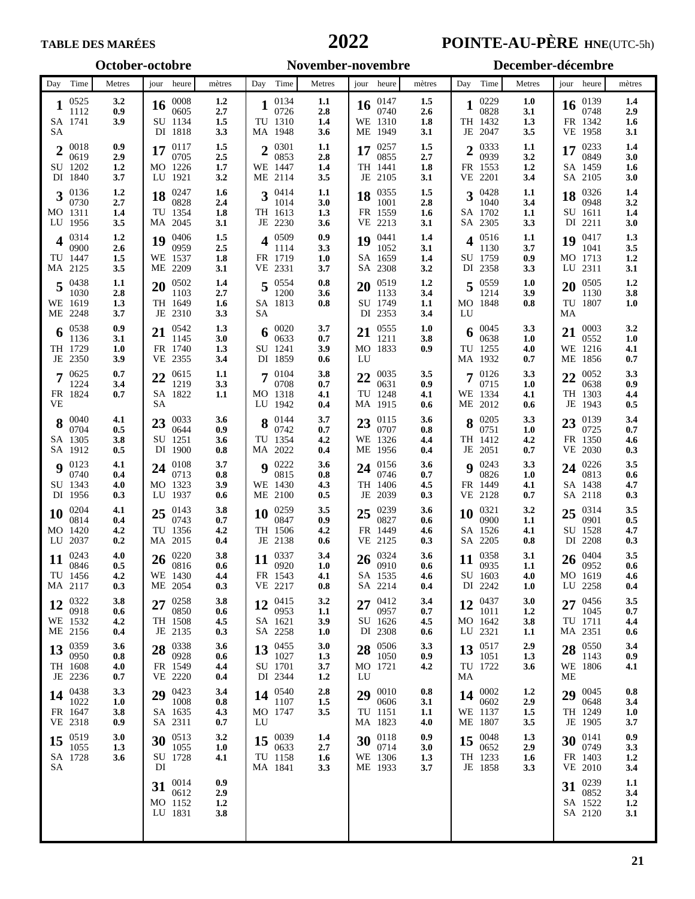### **TABLE DES MARÉES POINTE-AU-PÈRE HNE**(UTC-5h)

#### Day Time Metres jour heure mètres Day Time Metres jour heure mètres Day Time Metres jour heure mètres **October-octobre November-novembre December-décembre**  $1\frac{0525}{1112}$   $0.9$ SA 1741 **3.9** SA 1112 **0.9**  $2^{0018}$   $0.9$ <br>0.9<br>2.9 SU 1202 **1.2** DI 1840 **3.7** 0619 **2.9 3**  $\frac{0136}{0730}$  **1.2** MO 1311 **1.4** LU 1956 **3.5** 0730 **2.7**  $\frac{4}{0000}$   $\frac{0314}{26}$ TU 1447 **1.5** MA 2125 **3.5** 0900 **2.6**  $\frac{5}{1030}$   $\frac{0438}{28}$   $\frac{1.1}{28}$ WE 1619 **1.3** ME 2248 **3.7** 1030 **2.8 6** TH 1729 **1.0** JE 2350 **3.9** 0538 **0.9** 1136 **3.1**  $7^{0625}$  0.7 FR 1824 **0.7** VE 1224 **3.4 8**  $\frac{0040}{0704}$  **4.1** SA 1305 **3.8** SA 1912 **0.5** 0704 **0.5 9**  $\frac{0123}{0740}$  **4.1** SU 1343 **4.0** DI 1956 **0.3** 0740 **0.4 10** MO 1420 **4.2** LU 2037 **0.2** 0204 **4.1** 0814 **0.4**<br>1420 **4.2 11**  $\frac{0243}{0846}$  **4.0** TU 1456 **4.2** MA 2117 **0.3** 0846 **0.5**  $12\begin{array}{l}\n0322 \\
0918\n\end{array}$   $\begin{array}{l}\n3.8 \\
0.6\n\end{array}$ WE 1532 **4.2** ME 2156 **0.4** 0918 **0.6**  $13\substack{0359\\0950}$   $3.6$ TH 1608 **4.0** JE 2236 **0.7** 0950 **0.8**  $14\begin{array}{l}\n0438 \\
1022\n\end{array}$   $\begin{array}{l}\n3.3 \\
1.0\n\end{array}$ FR 1647 **3.8** VE 2318 **0.9** 1022 **1.0**  $15\begin{array}{l}\n0519 \\
1055\n\end{array}$   $\begin{array}{l}\n3.0 \\
13\n\end{array}$ SA 1728 **3.6** SA 1055 **1.3**  $16^{0008}$   $1.2^{0008}$   $27$ SU 1134 **1.5** DI 1818 **3.3** 0605 **2.7 17**  $\frac{0117}{0705}$  **1.5** MO 1226 **1.7** LU 1921 **3.2** 0705 **2.5 18**  $\frac{0247}{0828}$  **1.6** TU 1354 **1.8** MA 2045 **3.1** 0828 **2.4 19**  $\frac{0406}{0959}$  **1.5** WE 1537 **1.8** ME 2209 **3.1** 0959 **2.5 20** TH 1649 **1.6** JE 2310 **3.3** 0502 **1.4** 1103 **2.7 21** 0542 **1.3** FR 1740 **1.3** VE 2355 **3.4** 1145 **3.0** 22  $\frac{0615}{1219}$  1.1 SA 1822 **1.1** SA 1219 **3.3 23** 0033 **3.6** SU 1251 **3.6** DI 1900 **0.8** 0644 **0.9**  $24\frac{0108}{0713}$   $\frac{3.7}{0.8}$ MO 1323 **3.9** LU 1937 **0.6** 0713 **0.8**  $25\begin{array}{ccc} 0.143 & 3.8 \\ 0.743 & 0.7 \end{array}$ TU 1356 **4.2** MA 2015 **0.4** 0743 **0.7 26** 0220 **3.8** WE 1430 **4.4** ME 2054 **0.3** 0816 **0.6 27** 0258 **3.8** TH 1508 **4.5** JE 2135 **0.3** 0850 **0.6 28** 0338 **3.6** FR 1549 **4.4** VE 2220 **0.4** 0928 **0.6 29** SA 1635 **4.3** SA 2311 **0.7** 0423 **3.4** 1008 **0.8 30**  $\frac{0513}{1055}$  **3.2** SU 1728 **4.1** DI 1055 **1.0** 31  $\frac{0014}{0612}$  0.9 MO 1152 **1.2** LU 1831 **3.8** 0612 **2.9 1** TU 1310 **1.4** MA 1948 **3.6** 0134 **1.1** 0726 **2.8**  $2^{0301}$   $1.1$ <br> $2.8$ WE 1447 **1.4** ME 2114 **3.5** 0853 **2.8 3**  $\frac{0414}{1014}$  **1.1** TH 1613 **1.3** JE 2230 **3.6** 1014 **3.0**<br>1613 **1.3 4** 0509 **0.9** FR 1719 **1.0** VE 2331 **3.7** 1114 **3.3 5** SA 1813 **0.8** SA 0554 **0.8** 1200 **3.6**  $\begin{array}{ccc} 6 & 0020 & 3.7 \\ 0633 & 0.7 \end{array}$ SU 1241 **3.9** DI 1859 **0.6** 0633 **0.7**  $7^{0104}_{0708}$   $3.8^{07}$ MO 1318 **4.1** LU 1942 **0.4** 0708 **0.7 8**  $\frac{0144}{0742}$  **3.7** TU 1354 **4.2** MA 2022 **0.4** 0742 **0.7 9**  $\frac{0222}{0815}$  **3.6** WE 1430 **4.3** ME 2100 **0.5** 0815 **0.8**  $10^{0259}_{0847}$   $3.5^{08}$ TH 1506 **4.2** JE 2138 **0.6** 0847 **0.9**  $11^{0337}$   $3.4$ FR 1543 **4.1** VE 2217 **0.8** 0920 **1.0**  $12^{0415}$   $3.2^{0415}$   $11$ SA 1621 **3.9** SA 2258 **1.0** 0953 **1.1 13**  $\frac{0455}{1027}$  **3.0** SU 1701 **3.7** DI 2344 **1.2** 1027 **1.3 14** MO 1747 **3.5** LU 0540 **2.8** 1107 **1.5**<br>1747 **3.5**  $15\begin{array}{l}\n0.039 \\
0.633\n\end{array}$   $\begin{array}{l}\n1.4 \\
2.7\n\end{array}$ TU 1158 **1.6** MA 1841 **3.3** 0633 **2.7 16** WE 1310 **1.8** ME 1949 **3.1** 0147 **1.5** 0740 **2.6 17**  $\frac{0257}{0855}$  **1.5** TH 1441 **1.8** JE 2105 **3.1** 0855 **2.7**  $18^{0355}$   $1.5$ <br> $2.8$ FR 1559 **1.6** VE 2213 **3.1** 1001 **2.8 19**  $\frac{0441}{1052}$  **1.4** SA 1659 **1.4** SA 2308 **3.2** 1052 **3.1 20** SU 1749 **1.1** DI 2353 **3.4** 0519 **1.2** 1133 **3.4 21** MO 1833 **0.9** LU 0555 **1.0** 1211 **3.8**  $22^{0035}$  3.5 TU 1248 **4.1** MA 1915 **0.6** 0631 **0.9 23**  $\frac{0115}{0707}$  **3.6** WE 1326 **4.4** ME 1956 **0.4** 0707 **0.8 24** 0156 **3.6** TH 1406 **4.5** JE 2039 **0.3** 0746 **0.7 25** 0239 **3.6** FR 1449 **4.6** VE 2125 **0.3** 0827 **0.6**  $26\substack{0324 \ 0910}$  3.6 SA 1535 **4.6** SA 2214 **0.4** 0910 **0.6 27** 0412 **3.4** SU 1626 **4.5** DI 2308 **0.6** 0957 **0.7 28** 0506 **3.3** MO 1721 **4.2** LU 1050 **0.9**  $29^{0010}$  0.8 TU 1151 **1.1** MA 1823 **4.0** 0606 **3.1 30**  $\frac{0118}{0714}$  **0.9** WE 1306 **1.3** ME 1933 **3.7** 0714 **3.0 1** TH 1432 **1.3** JE 2047 **3.5** 0229 **1.0** 0828 **3.1**  $2^{0333}$   $1.1$ <br>0939 32 FR 1553 **1.2** VE 2201 **3.4** 0939 **3.2 3**  $\frac{0428}{1040}$  **1.1** SA 1702 **1.1** SA 2305 **3.3** 1040 **3.4**<br>1702 **1.1 4** 0516 **1.1** SU 1759 **0.9** DI 2358 **3.3** 1130 **3.7 5** MO 1848 **0.8** LU 0559 **1.0** 1214 **3.9**  $\begin{matrix}6 & 0045 \\ 0638 & 10\end{matrix}$ TU 1255 **4.0** MA 1932 **0.7** 0638 **1.0**  $7^{0126}_{0715}$  3.3 WE 1334 **4.1** ME 2012 **0.6** 0715 **1.0 8**  $\frac{0205}{0751}$  **3.3** TH 1412 **4.2** JE 2051 **0.7** 0751 **1.0 9** 0243 **3.3** FR 1449 **4.1** VE 2128 **0.7** 0826 **1.0**  $10^{0321}$  3.2 SA 1526 **4.1** SA 2205 **0.8** 0900 **1.1**  $11^{0358}$   $3.1$ SU 1603 **4.0** DI 2242 **1.0** 0935 **1.1 12**  $\frac{0437}{1011}$  **3.0** MO 1642 **3.8** LU 2321 **1.1** 1011 **1.2**  $13^{0517}$   $2.9$ TU 1722 **3.6** MA 1051 **1.3**  $14\substack{0002 \ 0602}$   $1.2\phantom{0}$ WE 1137 **1.5** ME 1807 **3.5** 0602 **2.9**  $15\begin{array}{l}\n0.048 \\
0.652\n\end{array}$   $\begin{array}{l}\n1.3 \\
2.9\n\end{array}$ TH 1233 **1.6** JE 1858 **3.3** 0652 **2.9 16** FR 1342 **1.6** VE 1958 **3.1** 0139 **1.4** 0748 **2.9**  $17^{0233}_{0849}$   $1.4^{14}_{30}$ SA 1459 **1.6** SA 2105 **3.0** 0849 **3.0**  $18^{0326}_{0948}$   $1.4$ SU 1611 **1.4** DI 2211 **3.0** 0948 **3.2 19** 0417 **1.3** MO 1713 **1.2** LU 2311 **3.1** 1041 **3.5**<br>1713 **1.2 20** TU 1807 **1.0** MA 0505 **1.2** 1130 **3.8**  $21^{0003}_{0552}$   $3.2^{0003}_{10}$ WE 1216 **4.1** ME 1856 **0.7** 0552 **1.0 22** TH 1303 **4.4** JE 1943 **0.5** 0052 **3.3** 0638 23  $\frac{0139}{0725}$  3.4 FR 1350 **4.6** VE 2030 **0.3** 0725 **0.7 24** 0226 **3.5** SA 1438 **4.7** SA 2118 **0.3** 0813 **0.6**  $25\begin{array}{l}\n0314 \\
0901\n\end{array}$  3.5 SU 1528 **4.7** DI 2208 **0.3** 0901 **0.5**  $26^{0404}_{0952}$   $3.5^{0404}_{0.6}$ MO LU 2258 **0.4** 0952 **0.6** 1619 **4.6 27** 0456 **3.5** TU 1711 **4.4** MA 2351 **0.6** 1045 **0.7 28** WE 1806 **4.1** ME 0550 **3.4** 1143 **0.9 29** 0045 **0.8** TH 1249 **1.0** JE 1905 **3.7** 0648 **3.4 30**  $\frac{0141}{0749}$  **0.9** FR 1403 **1.2** VE 2010 **3.4** 0749 **3.3 31**  $\frac{0239}{0852}$  **1.1** SA 1522 **1.2** SA 2120 **3.1**0852 **3.4**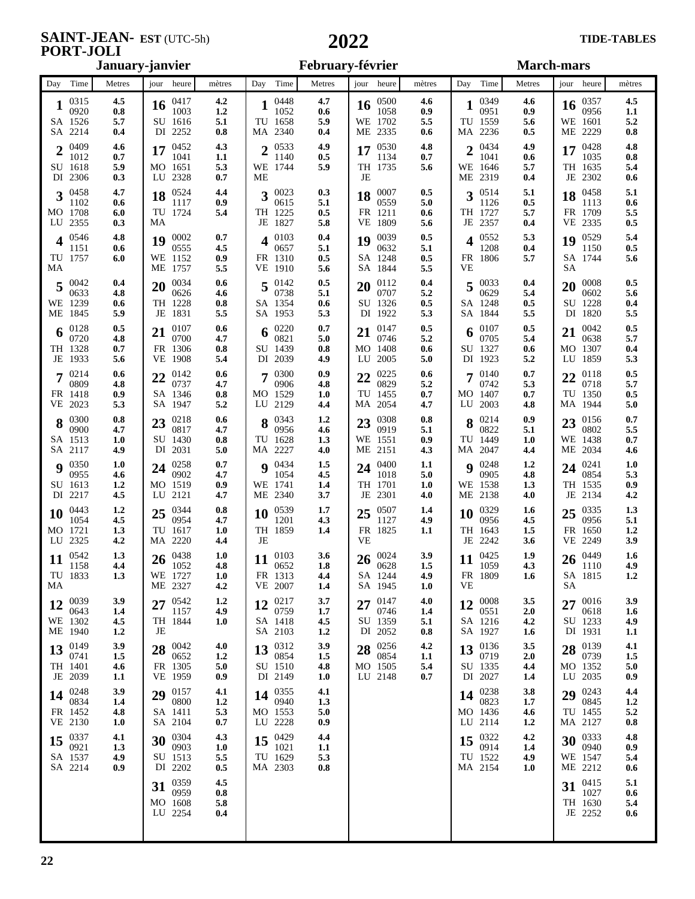#### **SAINT-JEAN-PORT-JOLI**

| January-janvier                                |                              |                                                     |                          | February-février                                  |                          |                                                 | <b>March-mars</b>               |                                          |                          |                                              |                                |
|------------------------------------------------|------------------------------|-----------------------------------------------------|--------------------------|---------------------------------------------------|--------------------------|-------------------------------------------------|---------------------------------|------------------------------------------|--------------------------|----------------------------------------------|--------------------------------|
| Day Time                                       | Metres                       | jour heure                                          | mètres                   | Day Time                                          | Metres                   | jour heure                                      | mètres                          | Day Time                                 | Metres                   | jour heure                                   | mètres                         |
| 0315<br>0920<br>SA 1526<br>SA 2214             | 4.5<br>0.8<br>5.7<br>0.4     | 0417<br>16<br>1003<br>SU 1616<br>DI 2252            | 4.2<br>1.2<br>5.1<br>0.8 | 0448<br>1052<br>TU 1658<br>MA 2340                | 4.7<br>0.6<br>5.9<br>0.4 | 0500<br>16<br>1058<br>WE 1702<br>ME 2335        | 4.6<br>0.9<br>5.5<br>0.6        | 0349<br>0951<br>TU 1559<br>MA 2236       | 4.6<br>0.9<br>5.6<br>0.5 | 0357<br>16<br>0956<br>WE 1601<br>ME 2229     | 4.5<br>1.1<br>5.2<br>0.8       |
| 0409<br>$\gamma$<br>1012<br>SU 1618<br>DI 2306 | 4.6<br>0.7<br>5.9<br>0.3     | 0452<br>17<br>1041<br>MO 1651<br>LU 2328            | 4.3<br>1.1<br>5.3<br>0.7 | 0533<br><sub>2</sub><br>1140<br>WE 1744<br>МE     | 4.9<br>0.5<br>5.9        | 0530<br>17<br>1134<br>TH 1735<br>JE             | 4.8<br>0.7<br>5.6               | 0434<br>↑<br>1041<br>WE 1646<br>ME 2319  | 4.9<br>0.6<br>5.7<br>0.4 | 0428<br>17<br>1035<br>TH 1635<br>JE 2302     | 4.8<br>0.8<br>5.4<br>0.6       |
| 0458<br>3<br>1102<br>MO 1708<br>LU 2355        | 4.7<br>0.6<br>6.0<br>0.3     | 0524<br>18<br>1117<br>TU 1724<br>MA                 | 4.4<br>0.9<br>5.4        | $3^{0023}$<br>0615<br>TH 1225<br>JE 1827          | 0.3<br>5.1<br>0.5<br>5.8 | 0007<br>18<br>0559<br>FR 1211<br>VE 1809        | 0.5<br>5.0<br>0.6<br>5.6        | 0514<br>3<br>1126<br>TH 1727<br>JE 2357  | 5.1<br>0.5<br>5.7<br>0.4 | 0458<br>18<br>1113<br>FR 1709<br>2335<br>VE. | 5.1<br>0.6<br>5.5<br>0.5       |
| 0546<br>4<br>1151<br>TU 1757<br>MA             | 4.8<br>0.6<br>6.0            | 0002<br>19<br>0555<br>WE 1152<br>ME 1757            | 0.7<br>4.5<br>0.9<br>5.5 | 0103<br>4<br>0657<br>FR 1310<br>VE 1910           | 0.4<br>5.1<br>0.5<br>5.6 | 0039<br>19<br>0632<br>SA 1248<br>SA 1844        | 0.5<br>5.1<br>0.5<br>5.5        | 0552<br>1208<br>FR 1806<br>VE            | 5.3<br>0.4<br>5.7        | 0529<br>19<br>1150<br>SA 1744<br>SА          | 5.4<br>0.5<br>5.6              |
| 0042<br>0633<br>WE 1239<br>ME 1845             | 0.4<br>4.8<br>0.6<br>5.9     | 0034<br>20<br>0626<br>TH 1228<br>JE 1831            | 0.6<br>4.6<br>0.8<br>5.5 | $5\frac{0142}{075}$<br>0738<br>SA 1354<br>SA 1953 | 0.5<br>5.1<br>0.6<br>5.3 | 0112<br>20<br>0707<br>SU 1326<br>DI 1922        | 0.4<br>5.2<br>0.5<br>5.3        | 0033<br>0629<br>SA 1248<br>SA 1844       | 0.4<br>5.4<br>0.5<br>5.5 | 0008<br>20<br>0602<br>SU 1228<br>DI 1820     | 0.5<br>5.6<br>0.4<br>5.5       |
| 0128<br>6<br>0720<br>TH 1328<br>JE 1933        | 0.5<br>4.8<br>0.7<br>5.6     | 0107<br>21<br>0700<br>FR 1306<br>VE 1908            | 0.6<br>4.7<br>0.8<br>5.4 | 0220<br>0821<br>SU 1439<br>DI 2039                | 0.7<br>5.0<br>0.8<br>4.9 | 0147<br>21<br>0746<br>MO 1408<br>LU 2005        | 0.5<br>5.2<br>0.6<br>5.0        | 0107<br>6<br>0705<br>SU 1327<br>DI 1923  | 0.5<br>5.4<br>0.6<br>5.2 | 0042<br>21<br>0638<br>MO 1307<br>1859<br>LU  | 0.5<br>5.7<br>0.4<br>5.3       |
| 0214<br>0809<br>FR 1418<br>VE 2023             | 0.6<br>4.8<br>0.9<br>5.3     | 0142<br>22<br>0737<br>SA 1346<br>SA 1947            | 0.6<br>4.7<br>0.8<br>5.2 | 0300<br>7<br>0906<br>MO 1529<br>LU 2129           | 0.9<br>4.8<br>1.0<br>4.4 | 0225<br>22<br>0829<br>TU 1455<br>MA 2054        | 0.6<br>5.2<br>0.7<br>4.7        | 0140<br>0742<br>MO 1407<br>LU 2003       | 0.7<br>5.3<br>0.7<br>4.8 | 0118<br>22<br>0718<br>TU 1350<br>MA 1944     | 0.5<br>5.7<br>0.5<br>5.0       |
| 0300<br>0900<br>SA 1513<br>SA 2117             | 0.8<br>4.7<br>1.0<br>4.9     | 23 $^{0218}_{0212}$<br>0817<br>SU 1430<br>DI 2031   | 0.6<br>4.7<br>0.8<br>5.0 | 8 $^{0343}$<br>0956<br>TU 1628<br>MA 2227         | 1.2<br>4.6<br>1.3<br>4.0 | 0308<br>23<br>0919<br>WE 1551<br>ME 2151        | 0.8<br>5.1<br>0.9<br>4.3        | 0214<br>8<br>0822<br>TU 1449<br>MA 2047  | 0.9<br>5.1<br>1.0<br>4.4 | 0156<br>23<br>0802<br>WE 1438<br>ME 2034     | 0.7<br>5.5<br>0.7<br>4.6       |
| 0350<br>Q<br>0955<br>SU 1613<br>DI 2217        | 1.0<br>4.6<br>1.2<br>4.5     | 0258<br>24<br>0902<br>MO 1519<br>LU 2121            | 0.7<br>4.7<br>0.9<br>4.7 | $9^{0434}$<br>1054<br>WE 1741<br>ME 2340          | 1.5<br>4.5<br>1.4<br>3.7 | 0400<br>24<br>1018<br>TH 1701<br>JE 2301        | 1.1<br>5.0<br><b>1.0</b><br>4.0 | 0248<br>Q<br>0905<br>WE 1538<br>ME 2138  | 1.2<br>4.8<br>1.3<br>4.0 | 0241<br>24<br>0854<br>TH 1535<br>JE 2134     | 1.0<br>5.3<br>0.9<br>4.2       |
| 0443<br>10<br>1054<br>MO 1721<br>LU 2325       | 1.2<br>4.5<br>1.3<br>4.2     | 0344<br>25<br>0954<br>TU 1617<br>MA 2220            | 0.8<br>4.7<br>1.0<br>4.4 | 0539<br>10<br>1201<br>TH 1859<br>JE               | 1.7<br>4.3<br>1.4        | 0507<br>25<br>1127<br>FR 1825<br>VE             | 1.4<br>4.9<br>1.1               | 0329<br>10<br>0956<br>TH 1643<br>JE 2242 | 1.6<br>4.5<br>1.5<br>3.6 | 0335<br>25<br>0956<br>FR 1650<br>VE 2249     | 1.3<br>5.1<br>1.2<br>3.9       |
| 0542<br>11<br>1158<br>TU 1833<br>MA            | 1.3<br>4.4<br>1.3            | $26\frac{0438}{1022}$<br>1052<br>WE 1727<br>ME 2327 | 1.0<br>4.8<br>1.0<br>4.2 | 0103<br>11<br>0652<br>FR 1313<br>VE 2007          | 3.6<br>1.8<br>4.4<br>1.4 | 0024<br>26<br>0628<br>SA 1244<br>SA 1945        | 3.9<br>1.5<br>4.9<br>1.0        | 0425<br>11<br>1059<br>FR 1809<br>VЕ      | 1.9<br>4.3<br>1.6        | 0449<br>26<br>1110<br>SA 1815<br>SA          | 1.6<br>4.9<br>1.2              |
| 0039<br>12<br>0643<br>WE 1302<br>ME 1940       | 3.9<br>1.4<br>4.5<br>1.2     | 0542<br>27<br>1157<br>TH 1844<br>JE                 | 1.2<br>4.9<br>1.0        | 0217<br>12<br>0759<br>SA 1418<br>SA 2103          | 3.7<br>1.7<br>4.5<br>1.2 | 27 $^{0147}_{02}$<br>0746<br>SU 1359<br>DI 2052 | 4.0<br>$1.4\,$<br>5.1<br>0.8    | 0008<br>12<br>0551<br>SA 1216<br>SA 1927 | 3.5<br>2.0<br>4.2<br>1.6 | 0016<br>27<br>0618<br>SU 1233<br>DI 1931     | 3.9<br>1.6<br>4.9<br>1.1       |
| 0149<br>13<br>0741<br>TH 1401<br>JE 2039       | 3.9<br>1.5<br>4.6<br>$1.1\,$ | 28 $^{0042}_{0000}$<br>0652<br>FR 1305<br>VE 1959   | 4.0<br>1.2<br>5.0<br>0.9 | 0312<br>13<br>0854<br>SU 1510<br>DI 2149          | 3.9<br>1.5<br>4.8<br>1.0 | 0256<br>28<br>0854<br>MO 1505<br>LU 2148        | 4.2<br>$1.1\,$<br>5.4<br>0.7    | 0136<br>13<br>0719<br>SU 1335<br>DI 2027 | 3.5<br>2.0<br>4.4<br>1.4 | 0139<br>28<br>0739<br>MO 1352<br>LU 2035     | 4.1<br>1.5<br>5.0<br>0.9       |
| 0248<br>14<br>0834<br>FR 1452<br>VE 2130       | 3.9<br>1.4<br>4.8<br>1.0     | $29\degree^{0157}$<br>0800<br>SA 1411<br>SA 2104    | 4.1<br>1.2<br>5.3<br>0.7 | 14 $^{0355}$<br>0940<br>MO 1553<br>LU 2228        | 4.1<br>1.3<br>5.0<br>0.9 |                                                 |                                 | 0238<br>14<br>0823<br>MO 1436<br>LU 2114 | 3.8<br>1.7<br>4.6<br>1.2 | $29^{0243}$<br>0845<br>TU 1455<br>MA 2127    | 4,4<br>1.2<br>5.2<br>$\bf 0.8$ |
| 0337<br>15<br>0921<br>SA 1537<br>SA 2214       | 4.1<br>1.3<br>4.9<br>0.9     | 0304<br>30<br>0903<br>SU 1513<br>DI 2202            | 4.3<br>1.0<br>5.5<br>0.5 | 0429<br>15<br>1021<br>TU 1629<br>MA 2303          | 4.4<br>1.1<br>5.3<br>0.8 |                                                 |                                 | 0322<br>15<br>0914<br>TU 1522<br>MA 2154 | 4.2<br>1.4<br>4.9<br>1.0 | 0333<br>30<br>0940<br>WE 1547<br>ME 2212     | 4.8<br>0.9<br>5.4<br>0.6       |
|                                                |                              | 0359<br>31<br>0959<br>MO 1608<br>LU 2254            | 4.5<br>0.8<br>5.8<br>0.4 |                                                   |                          |                                                 |                                 |                                          |                          | 0415<br>31<br>1027<br>TH 1630<br>JE 2252     | 5.1<br>0.6<br>5.4<br>0.6       |
|                                                |                              |                                                     |                          |                                                   |                          |                                                 |                                 |                                          |                          |                                              |                                |